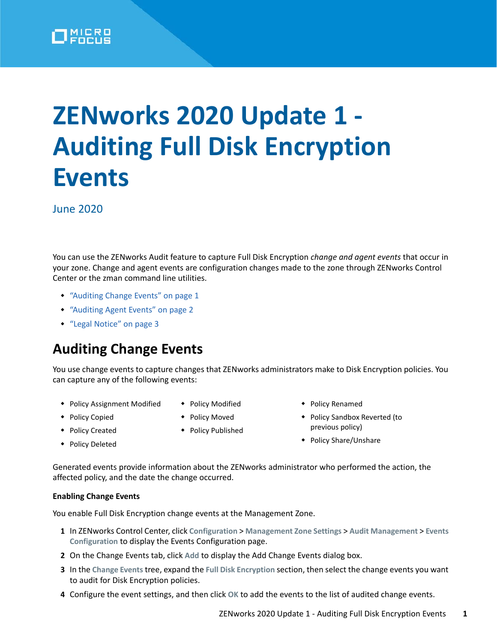

# **ZENworks 2020 Update 1 - Auditing Full Disk Encryption Events**

June 2020

You can use the ZENworks Audit feature to capture Full Disk Encryption *change and agent events* that occur in your zone. Change and agent events are configuration changes made to the zone through ZENworks Control Center or the zman command line utilities.

- ["Auditing Change Events" on page 1](#page-0-0)
- ["Auditing Agent Events" on page 2](#page-1-0)
- ["Legal Notice" on page 3](#page-2-0)

# <span id="page-0-0"></span>**Auditing Change Events**

You use change events to capture changes that ZENworks administrators make to Disk Encryption policies. You can capture any of the following events:

- Policy Assignment Modified
- ◆ Policy Copied
- ◆ Policy Modified
- 
- Policy Moved
- ◆ Policy Created ◆ Policy Deleted
- Policy Published
- 
- previous policy)

Policy Renamed

Policy Share/Unshare

◆ Policy Sandbox Reverted (to

Generated events provide information about the ZENworks administrator who performed the action, the affected policy, and the date the change occurred.

### **Enabling Change Events**

You enable Full Disk Encryption change events at the Management Zone.

- **1** In ZENworks Control Center, click **Configuration** > **Management Zone Settings** > **Audit Management** > **Events Configuration** to display the Events Configuration page.
- **2** On the Change Events tab, click **Add** to display the Add Change Events dialog box.
- **3** In the **Change Events** tree, expand the **Full Disk Encryption** section, then select the change events you want to audit for Disk Encryption policies.
- **4** Configure the event settings, and then click **OK** to add the events to the list of audited change events.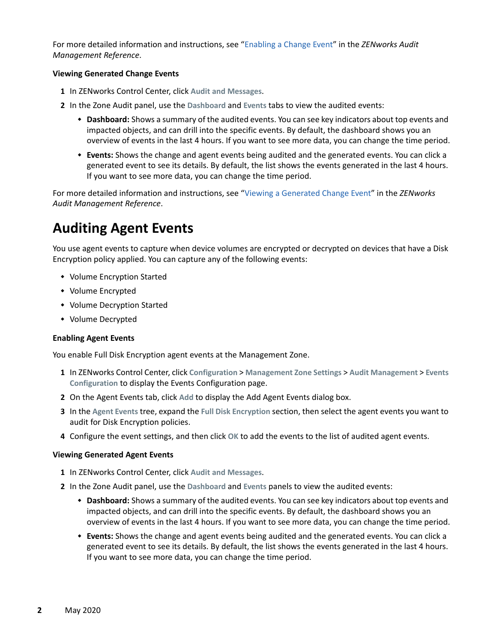For more detailed information and instructions, see ["Enabling a Change Event](https://www.novell.com/documentation/zenworks-2020/pdfdoc/zen_audit_management/zen_audit_management.pdf#b16qrf3y)" in the *ZENworks Audit Management Reference*.

#### **Viewing Generated Change Events**

- **1** In ZENworks Control Center, click **Audit and Messages**.
- **2** In the Zone Audit panel, use the **Dashboard** and **Events** tabs to view the audited events:
	- **Dashboard:** Shows a summary of the audited events. You can see key indicators about top events and impacted objects, and can drill into the specific events. By default, the dashboard shows you an overview of events in the last 4 hours. If you want to see more data, you can change the time period.
	- **Events:** Shows the change and agent events being audited and the generated events. You can click a generated event to see its details. By default, the list shows the events generated in the last 4 hours. If you want to see more data, you can change the time period.

For more detailed information and instructions, see ["Viewing a Generated Change Event](https://www.novell.com/documentation/zenworks-2020/pdfdoc/zen_audit_management/zen_audit_management.pdf#b16qs25l)" in the *ZENworks Audit Management Reference*.

## <span id="page-1-0"></span>**Auditing Agent Events**

You use agent events to capture when device volumes are encrypted or decrypted on devices that have a Disk Encryption policy applied. You can capture any of the following events:

- Volume Encryption Started
- Volume Encrypted
- Volume Decryption Started
- Volume Decrypted

#### **Enabling Agent Events**

You enable Full Disk Encryption agent events at the Management Zone.

- **1** In ZENworks Control Center, click **Configuration** > **Management Zone Settings** > **Audit Management** > **Events Configuration** to display the Events Configuration page.
- **2** On the Agent Events tab, click **Add** to display the Add Agent Events dialog box.
- **3** In the **Agent Events** tree, expand the **Full Disk Encryption** section, then select the agent events you want to audit for Disk Encryption policies.
- **4** Configure the event settings, and then click **OK** to add the events to the list of audited agent events.

#### **Viewing Generated Agent Events**

- **1** In ZENworks Control Center, click **Audit and Messages**.
- **2** In the Zone Audit panel, use the **Dashboard** and **Events** panels to view the audited events:
	- **Dashboard:** Shows a summary of the audited events. You can see key indicators about top events and impacted objects, and can drill into the specific events. By default, the dashboard shows you an overview of events in the last 4 hours. If you want to see more data, you can change the time period.
	- **Events:** Shows the change and agent events being audited and the generated events. You can click a generated event to see its details. By default, the list shows the events generated in the last 4 hours. If you want to see more data, you can change the time period.